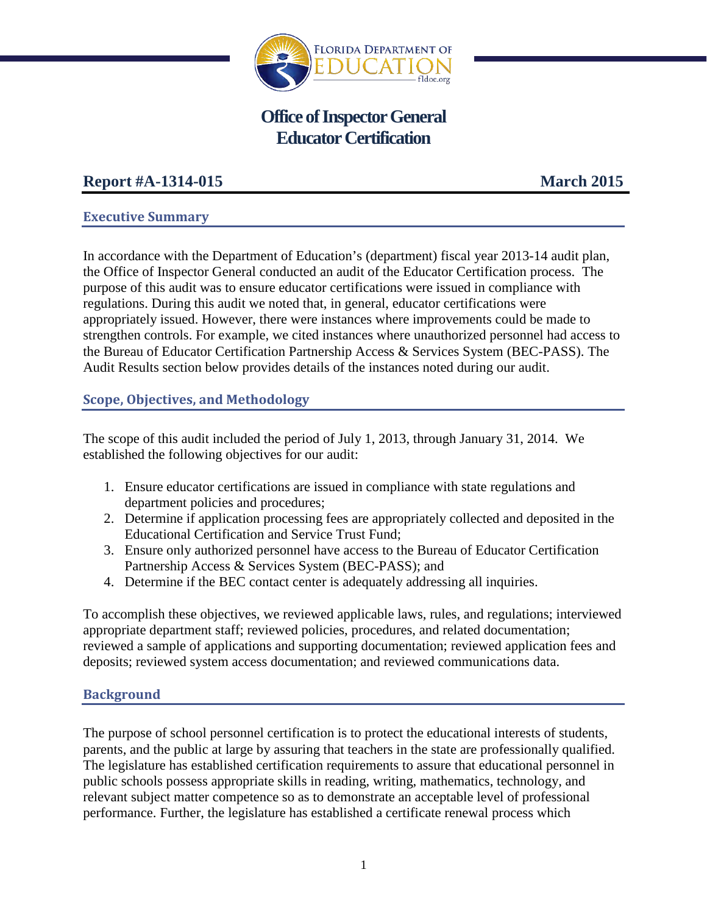

# **Office of Inspector General Educator Certification**

## **Report #A-1314-015 March 2015**

## **Executive Summary**

In accordance with the Department of Education's (department) fiscal year 2013-14 audit plan, the Office of Inspector General conducted an audit of the Educator Certification process. The purpose of this audit was to ensure educator certifications were issued in compliance with regulations. During this audit we noted that, in general, educator certifications were appropriately issued. However, there were instances where improvements could be made to strengthen controls. For example, we cited instances where unauthorized personnel had access to the Bureau of Educator Certification Partnership Access & Services System (BEC-PASS). The Audit Results section below provides details of the instances noted during our audit.

## **Scope, Objectives, and Methodology**

The scope of this audit included the period of July 1, 2013, through January 31, 2014. We established the following objectives for our audit:

- 1. Ensure educator certifications are issued in compliance with state regulations and department policies and procedures;
- 2. Determine if application processing fees are appropriately collected and deposited in the Educational Certification and Service Trust Fund;
- 3. Ensure only authorized personnel have access to the Bureau of Educator Certification Partnership Access & Services System (BEC-PASS); and
- 4. Determine if the BEC contact center is adequately addressing all inquiries.

To accomplish these objectives, we reviewed applicable laws, rules, and regulations; interviewed appropriate department staff; reviewed policies, procedures, and related documentation; reviewed a sample of applications and supporting documentation; reviewed application fees and deposits; reviewed system access documentation; and reviewed communications data.

## **Background**

The purpose of school personnel certification is to protect the educational interests of students, parents, and the public at large by assuring that teachers in the state are professionally qualified. The legislature has established certification requirements to assure that educational personnel in public schools possess appropriate skills in reading, writing, mathematics, technology, and relevant subject matter competence so as to demonstrate an acceptable level of professional performance. Further, the legislature has established a certificate renewal process which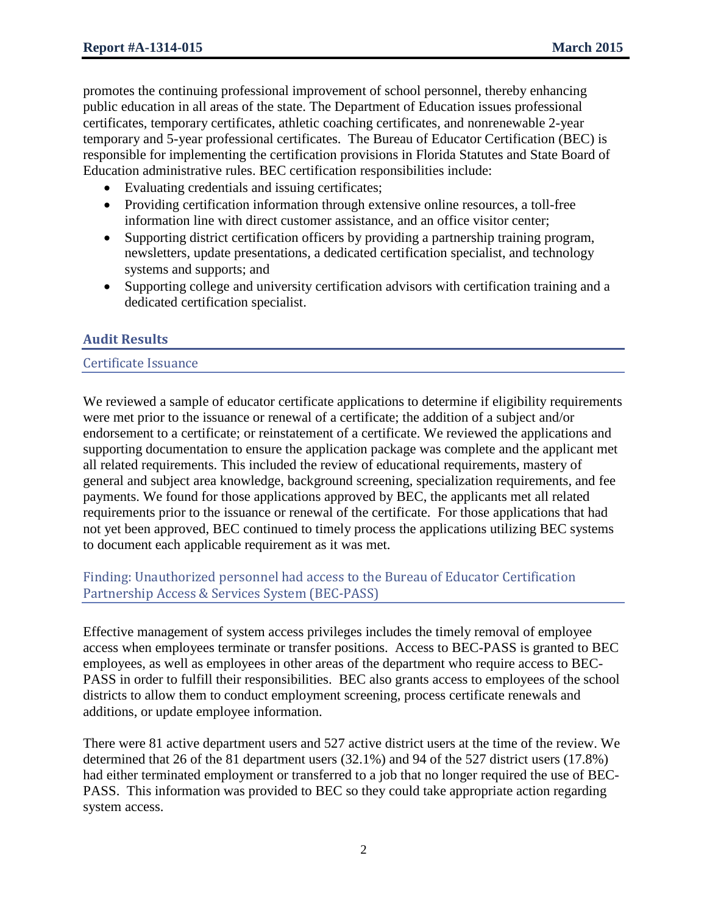promotes the continuing professional improvement of school personnel, thereby enhancing public education in all areas of the state. The Department of Education issues professional certificates, temporary certificates, athletic coaching certificates, and nonrenewable 2-year temporary and 5-year professional certificates. The Bureau of Educator Certification (BEC) is responsible for implementing the certification provisions in Florida Statutes and State Board of Education administrative rules. BEC certification responsibilities include:

- Evaluating credentials and issuing certificates;
- Providing certification information through extensive online resources, a toll-free information line with direct customer assistance, and an office visitor center;
- Supporting district certification officers by providing a partnership training program, newsletters, update presentations, a dedicated certification specialist, and technology systems and supports; and
- Supporting college and university certification advisors with certification training and a dedicated certification specialist.

## **Audit Results**

#### Certificate Issuance

We reviewed a sample of educator certificate applications to determine if eligibility requirements were met prior to the issuance or renewal of a certificate; the addition of a subject and/or endorsement to a certificate; or reinstatement of a certificate. We reviewed the applications and supporting documentation to ensure the application package was complete and the applicant met all related requirements. This included the review of educational requirements, mastery of general and subject area knowledge, background screening, specialization requirements, and fee payments. We found for those applications approved by BEC, the applicants met all related requirements prior to the issuance or renewal of the certificate. For those applications that had not yet been approved, BEC continued to timely process the applications utilizing BEC systems to document each applicable requirement as it was met.

## Finding: Unauthorized personnel had access to the Bureau of Educator Certification Partnership Access & Services System (BEC-PASS)

Effective management of system access privileges includes the timely removal of employee access when employees terminate or transfer positions. Access to BEC-PASS is granted to BEC employees, as well as employees in other areas of the department who require access to BEC-PASS in order to fulfill their responsibilities. BEC also grants access to employees of the school districts to allow them to conduct employment screening, process certificate renewals and additions, or update employee information.

There were 81 active department users and 527 active district users at the time of the review. We determined that 26 of the 81 department users (32.1%) and 94 of the 527 district users (17.8%) had either terminated employment or transferred to a job that no longer required the use of BEC-PASS. This information was provided to BEC so they could take appropriate action regarding system access.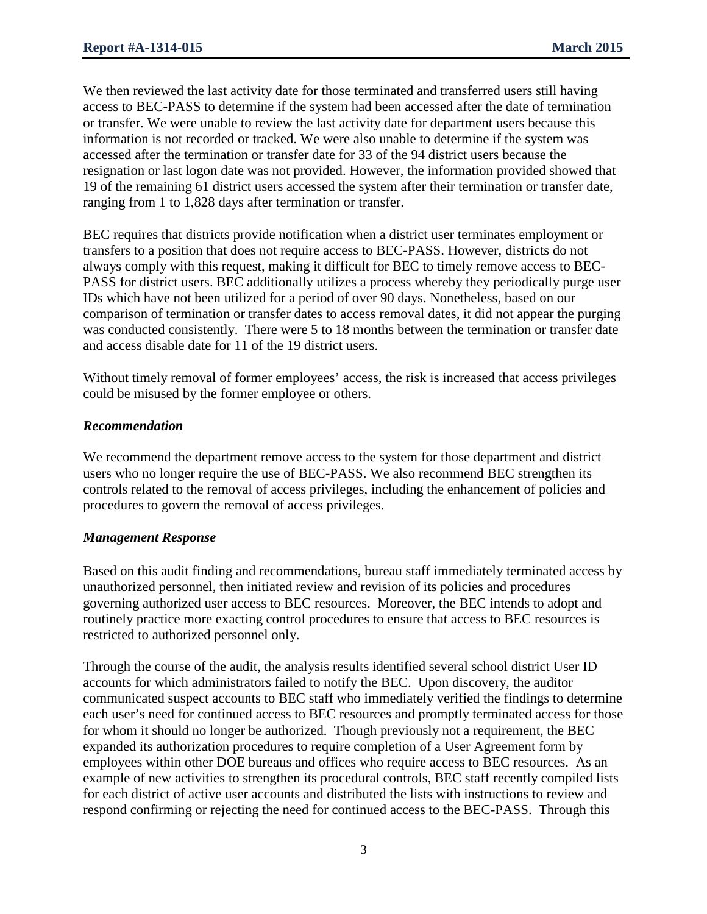We then reviewed the last activity date for those terminated and transferred users still having access to BEC-PASS to determine if the system had been accessed after the date of termination or transfer. We were unable to review the last activity date for department users because this information is not recorded or tracked. We were also unable to determine if the system was accessed after the termination or transfer date for 33 of the 94 district users because the resignation or last logon date was not provided. However, the information provided showed that 19 of the remaining 61 district users accessed the system after their termination or transfer date, ranging from 1 to 1,828 days after termination or transfer.

BEC requires that districts provide notification when a district user terminates employment or transfers to a position that does not require access to BEC-PASS. However, districts do not always comply with this request, making it difficult for BEC to timely remove access to BEC-PASS for district users. BEC additionally utilizes a process whereby they periodically purge user IDs which have not been utilized for a period of over 90 days. Nonetheless, based on our comparison of termination or transfer dates to access removal dates, it did not appear the purging was conducted consistently. There were 5 to 18 months between the termination or transfer date and access disable date for 11 of the 19 district users.

Without timely removal of former employees' access, the risk is increased that access privileges could be misused by the former employee or others.

#### *Recommendation*

We recommend the department remove access to the system for those department and district users who no longer require the use of BEC-PASS. We also recommend BEC strengthen its controls related to the removal of access privileges, including the enhancement of policies and procedures to govern the removal of access privileges.

#### *Management Response*

Based on this audit finding and recommendations, bureau staff immediately terminated access by unauthorized personnel, then initiated review and revision of its policies and procedures governing authorized user access to BEC resources. Moreover, the BEC intends to adopt and routinely practice more exacting control procedures to ensure that access to BEC resources is restricted to authorized personnel only.

Through the course of the audit, the analysis results identified several school district User ID accounts for which administrators failed to notify the BEC. Upon discovery, the auditor communicated suspect accounts to BEC staff who immediately verified the findings to determine each user's need for continued access to BEC resources and promptly terminated access for those for whom it should no longer be authorized. Though previously not a requirement, the BEC expanded its authorization procedures to require completion of a User Agreement form by employees within other DOE bureaus and offices who require access to BEC resources. As an example of new activities to strengthen its procedural controls, BEC staff recently compiled lists for each district of active user accounts and distributed the lists with instructions to review and respond confirming or rejecting the need for continued access to the BEC-PASS. Through this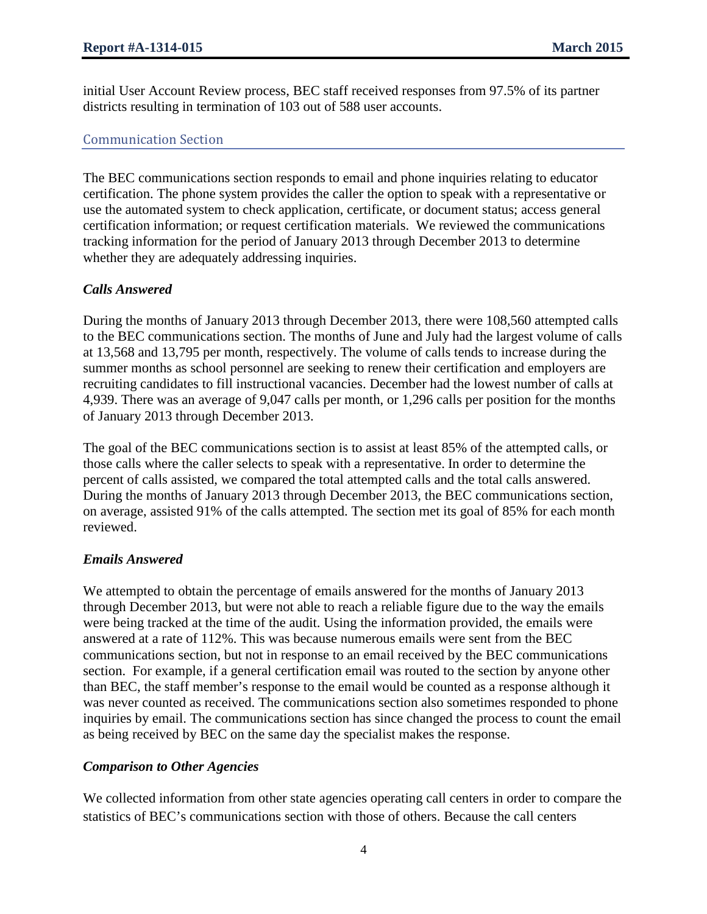initial User Account Review process, BEC staff received responses from 97.5% of its partner districts resulting in termination of 103 out of 588 user accounts.

### Communication Section

The BEC communications section responds to email and phone inquiries relating to educator certification. The phone system provides the caller the option to speak with a representative or use the automated system to check application, certificate, or document status; access general certification information; or request certification materials. We reviewed the communications tracking information for the period of January 2013 through December 2013 to determine whether they are adequately addressing inquiries.

#### *Calls Answered*

During the months of January 2013 through December 2013, there were 108,560 attempted calls to the BEC communications section. The months of June and July had the largest volume of calls at 13,568 and 13,795 per month, respectively. The volume of calls tends to increase during the summer months as school personnel are seeking to renew their certification and employers are recruiting candidates to fill instructional vacancies. December had the lowest number of calls at 4,939. There was an average of 9,047 calls per month, or 1,296 calls per position for the months of January 2013 through December 2013.

The goal of the BEC communications section is to assist at least 85% of the attempted calls, or those calls where the caller selects to speak with a representative. In order to determine the percent of calls assisted, we compared the total attempted calls and the total calls answered. During the months of January 2013 through December 2013, the BEC communications section, on average, assisted 91% of the calls attempted. The section met its goal of 85% for each month reviewed.

#### *Emails Answered*

We attempted to obtain the percentage of emails answered for the months of January 2013 through December 2013, but were not able to reach a reliable figure due to the way the emails were being tracked at the time of the audit. Using the information provided, the emails were answered at a rate of 112%. This was because numerous emails were sent from the BEC communications section, but not in response to an email received by the BEC communications section. For example, if a general certification email was routed to the section by anyone other than BEC, the staff member's response to the email would be counted as a response although it was never counted as received. The communications section also sometimes responded to phone inquiries by email. The communications section has since changed the process to count the email as being received by BEC on the same day the specialist makes the response.

## *Comparison to Other Agencies*

We collected information from other state agencies operating call centers in order to compare the statistics of BEC's communications section with those of others. Because the call centers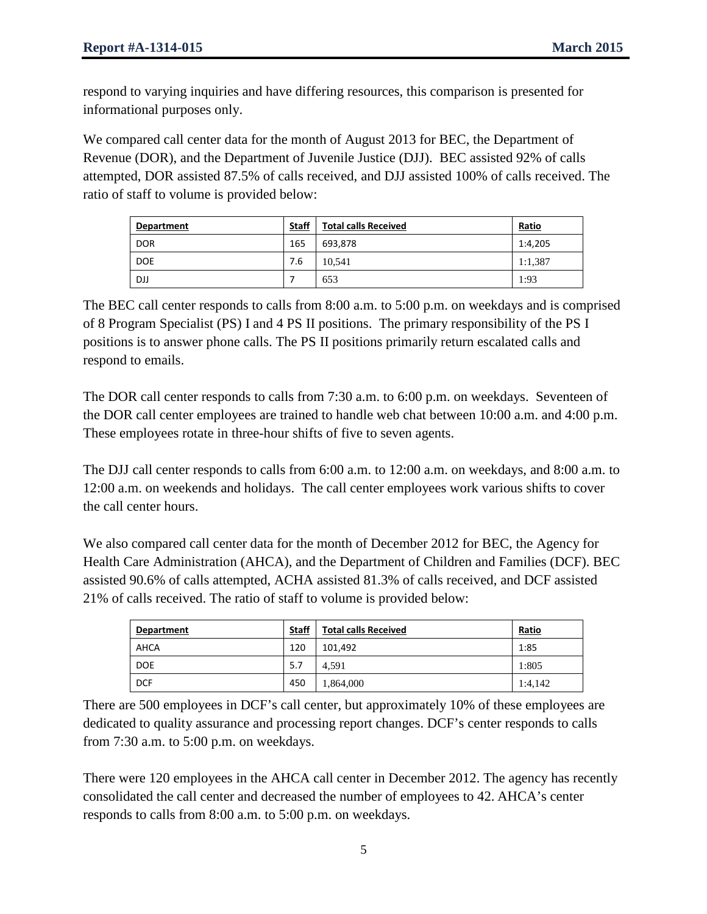respond to varying inquiries and have differing resources, this comparison is presented for informational purposes only.

We compared call center data for the month of August 2013 for BEC, the Department of Revenue (DOR), and the Department of Juvenile Justice (DJJ). BEC assisted 92% of calls attempted, DOR assisted 87.5% of calls received, and DJJ assisted 100% of calls received. The ratio of staff to volume is provided below:

| Department | <b>Staff</b> | <b>Total calls Received</b> | Ratio   |
|------------|--------------|-----------------------------|---------|
| <b>DOR</b> | 165          | 693,878                     | 1:4,205 |
| <b>DOE</b> | 7.6          | 10.541                      | 1:1,387 |
| DJJ        |              | 653                         | 1:93    |

The BEC call center responds to calls from 8:00 a.m. to 5:00 p.m. on weekdays and is comprised of 8 Program Specialist (PS) I and 4 PS II positions. The primary responsibility of the PS I positions is to answer phone calls. The PS II positions primarily return escalated calls and respond to emails.

The DOR call center responds to calls from 7:30 a.m. to 6:00 p.m. on weekdays. Seventeen of the DOR call center employees are trained to handle web chat between 10:00 a.m. and 4:00 p.m. These employees rotate in three-hour shifts of five to seven agents.

The DJJ call center responds to calls from 6:00 a.m. to 12:00 a.m. on weekdays, and 8:00 a.m. to 12:00 a.m. on weekends and holidays. The call center employees work various shifts to cover the call center hours.

We also compared call center data for the month of December 2012 for BEC, the Agency for Health Care Administration (AHCA), and the Department of Children and Families (DCF). BEC assisted 90.6% of calls attempted, ACHA assisted 81.3% of calls received, and DCF assisted 21% of calls received. The ratio of staff to volume is provided below:

| Department | <b>Staff</b> | <b>Total calls Received</b> | Ratio   |
|------------|--------------|-----------------------------|---------|
| AHCA       | 120          | 101,492                     | 1:85    |
| <b>DOE</b> | 5.7          | 4.591                       | 1:805   |
| <b>DCF</b> | 450          | 1,864,000                   | 1:4,142 |

There are 500 employees in DCF's call center, but approximately 10% of these employees are dedicated to quality assurance and processing report changes. DCF's center responds to calls from 7:30 a.m. to 5:00 p.m. on weekdays.

There were 120 employees in the AHCA call center in December 2012. The agency has recently consolidated the call center and decreased the number of employees to 42. AHCA's center responds to calls from 8:00 a.m. to 5:00 p.m. on weekdays.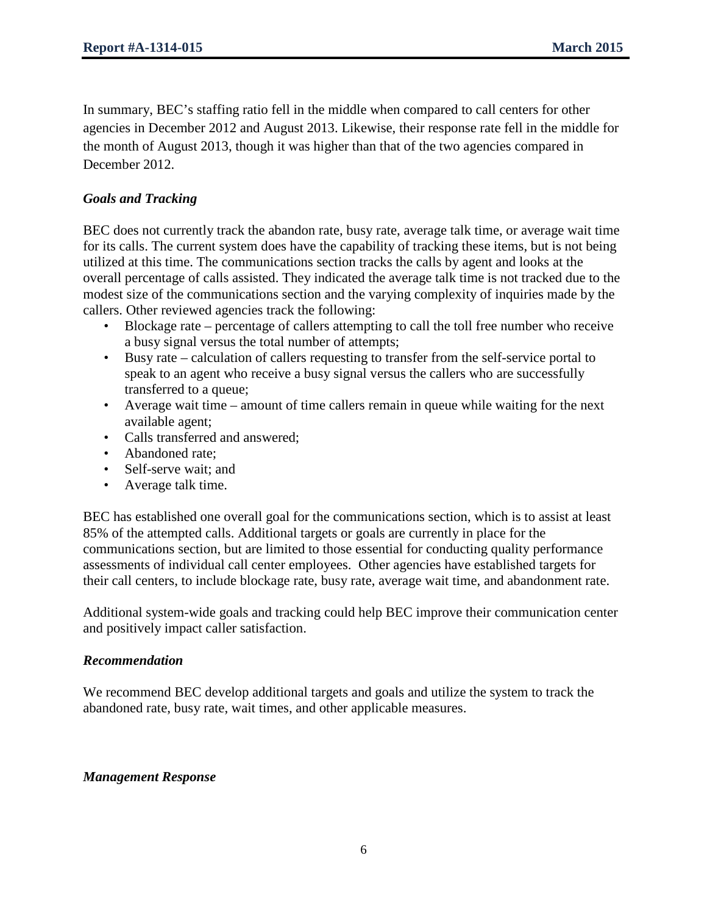In summary, BEC's staffing ratio fell in the middle when compared to call centers for other agencies in December 2012 and August 2013. Likewise, their response rate fell in the middle for the month of August 2013, though it was higher than that of the two agencies compared in December 2012.

## *Goals and Tracking*

BEC does not currently track the abandon rate, busy rate, average talk time, or average wait time for its calls. The current system does have the capability of tracking these items, but is not being utilized at this time. The communications section tracks the calls by agent and looks at the overall percentage of calls assisted. They indicated the average talk time is not tracked due to the modest size of the communications section and the varying complexity of inquiries made by the callers. Other reviewed agencies track the following:

- Blockage rate percentage of callers attempting to call the toll free number who receive a busy signal versus the total number of attempts;
- Busy rate calculation of callers requesting to transfer from the self-service portal to speak to an agent who receive a busy signal versus the callers who are successfully transferred to a queue;
- Average wait time amount of time callers remain in queue while waiting for the next available agent;
- Calls transferred and answered;
- Abandoned rate:
- Self-serve wait: and
- Average talk time.

BEC has established one overall goal for the communications section, which is to assist at least 85% of the attempted calls. Additional targets or goals are currently in place for the communications section, but are limited to those essential for conducting quality performance assessments of individual call center employees. Other agencies have established targets for their call centers, to include blockage rate, busy rate, average wait time, and abandonment rate.

Additional system-wide goals and tracking could help BEC improve their communication center and positively impact caller satisfaction.

## *Recommendation*

We recommend BEC develop additional targets and goals and utilize the system to track the abandoned rate, busy rate, wait times, and other applicable measures.

## *Management Response*